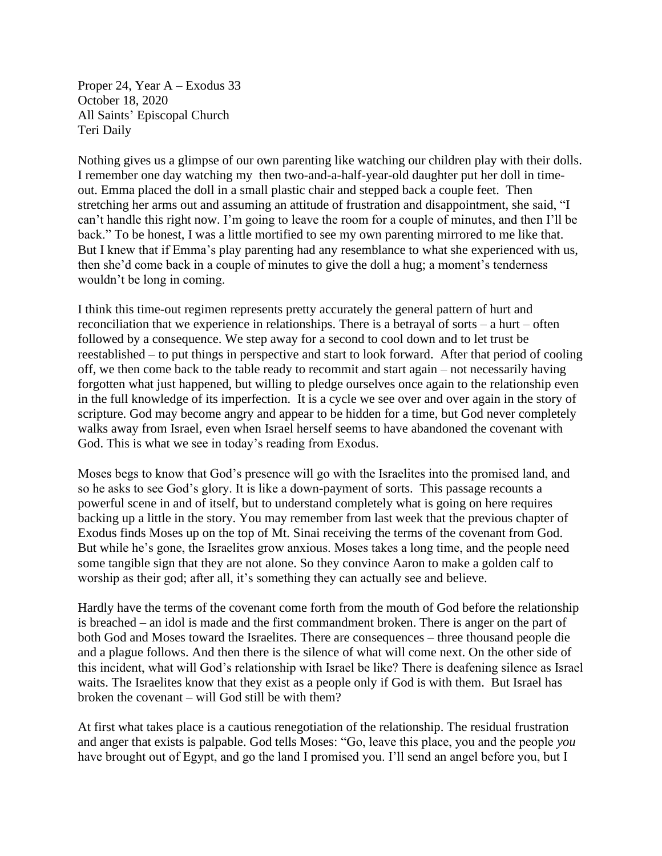Proper 24, Year A – Exodus 33 October 18, 2020 All Saints' Episcopal Church Teri Daily

Nothing gives us a glimpse of our own parenting like watching our children play with their dolls. I remember one day watching my then two-and-a-half-year-old daughter put her doll in timeout. Emma placed the doll in a small plastic chair and stepped back a couple feet. Then stretching her arms out and assuming an attitude of frustration and disappointment, she said, "I can't handle this right now. I'm going to leave the room for a couple of minutes, and then I'll be back." To be honest, I was a little mortified to see my own parenting mirrored to me like that. But I knew that if Emma's play parenting had any resemblance to what she experienced with us, then she'd come back in a couple of minutes to give the doll a hug; a moment's tenderness wouldn't be long in coming.

I think this time-out regimen represents pretty accurately the general pattern of hurt and reconciliation that we experience in relationships. There is a betrayal of sorts – a hurt – often followed by a consequence. We step away for a second to cool down and to let trust be reestablished – to put things in perspective and start to look forward. After that period of cooling off, we then come back to the table ready to recommit and start again – not necessarily having forgotten what just happened, but willing to pledge ourselves once again to the relationship even in the full knowledge of its imperfection. It is a cycle we see over and over again in the story of scripture. God may become angry and appear to be hidden for a time, but God never completely walks away from Israel, even when Israel herself seems to have abandoned the covenant with God. This is what we see in today's reading from Exodus.

Moses begs to know that God's presence will go with the Israelites into the promised land, and so he asks to see God's glory. It is like a down-payment of sorts. This passage recounts a powerful scene in and of itself, but to understand completely what is going on here requires backing up a little in the story. You may remember from last week that the previous chapter of Exodus finds Moses up on the top of Mt. Sinai receiving the terms of the covenant from God. But while he's gone, the Israelites grow anxious. Moses takes a long time, and the people need some tangible sign that they are not alone. So they convince Aaron to make a golden calf to worship as their god; after all, it's something they can actually see and believe.

Hardly have the terms of the covenant come forth from the mouth of God before the relationship is breached – an idol is made and the first commandment broken. There is anger on the part of both God and Moses toward the Israelites. There are consequences – three thousand people die and a plague follows. And then there is the silence of what will come next. On the other side of this incident, what will God's relationship with Israel be like? There is deafening silence as Israel waits. The Israelites know that they exist as a people only if God is with them. But Israel has broken the covenant – will God still be with them?

At first what takes place is a cautious renegotiation of the relationship. The residual frustration and anger that exists is palpable. God tells Moses: "Go, leave this place, you and the people *you* have brought out of Egypt, and go the land I promised you. I'll send an angel before you, but I